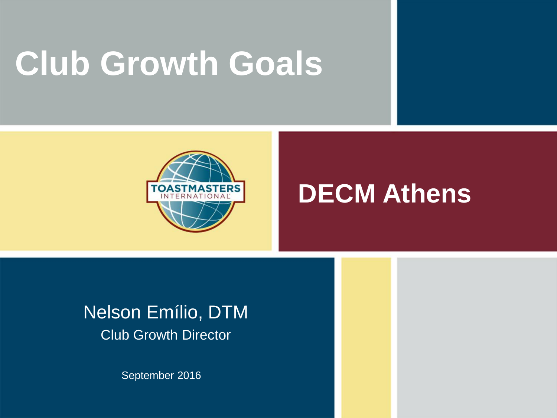## **Club Growth Goals**



#### **DECM Athens**

#### Nelson Emílio, DTM Club Growth Director

September 2016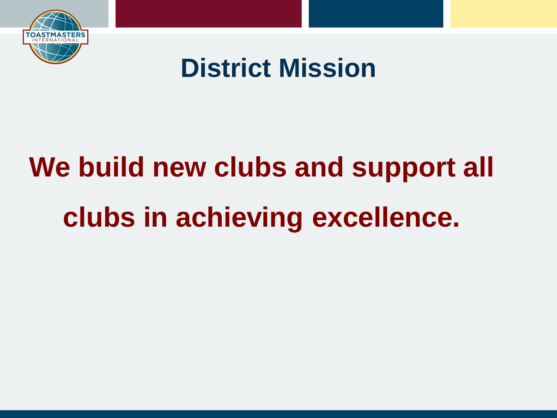

### **District Mission**

# **We build new clubs and support all clubs in achieving excellence.**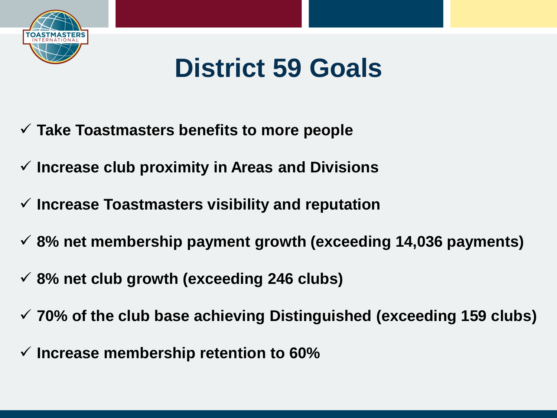

#### **District 59 Goals**

- **Take Toastmasters benefits to more people**
- **Increase club proximity in Areas and Divisions**
- **Increase Toastmasters visibility and reputation**
- **8% net membership payment growth (exceeding 14,036 payments)**
- **8% net club growth (exceeding 246 clubs)**
- **70% of the club base achieving Distinguished (exceeding 159 clubs)**
- **Increase membership retention to 60%**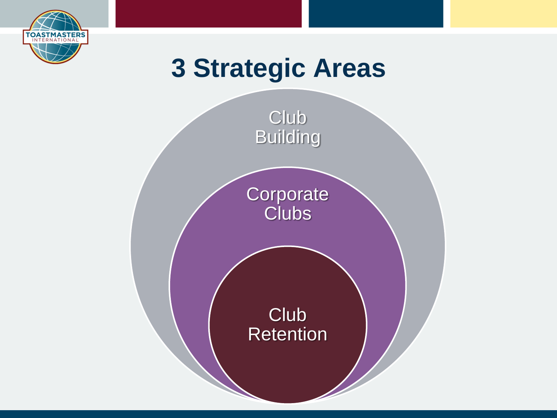

### **3 Strategic Areas**

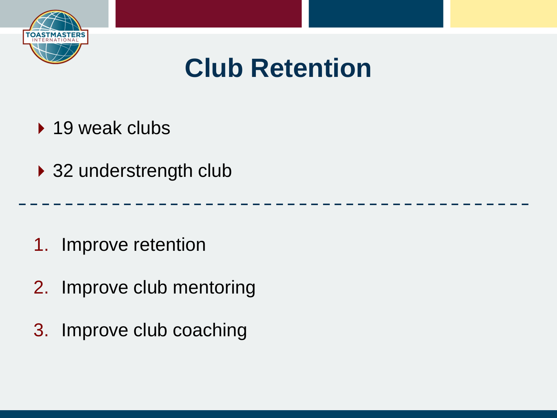

### **Club Retention**

- ▶ 19 weak clubs
- ▶ 32 understrength club

- 1. Improve retention
- 2. Improve club mentoring
- 3. Improve club coaching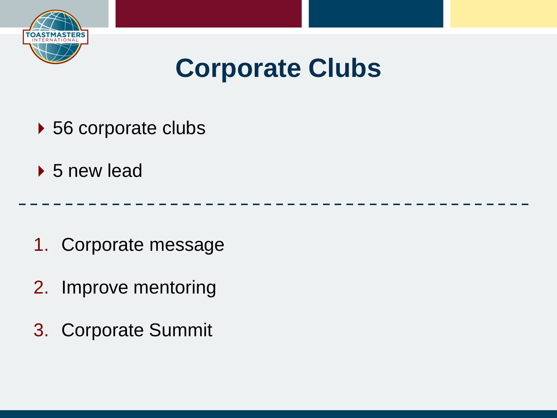

### **Corporate Clubs**

- ▶ 56 corporate clubs
- ▶ 5 new lead

- 1. Corporate message
- 2. Improve mentoring
- 3. Corporate Summit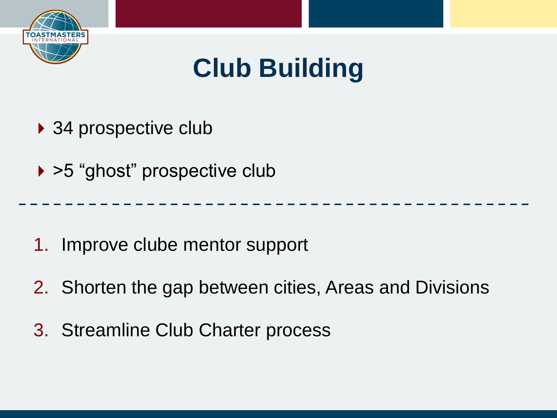

## **Club Building**

▶ 34 prospective club

▶ >5 "ghost" prospective club

1. Improve clube mentor support

- 2. Shorten the gap between cities, Areas and Divisions
- 3. Streamline Club Charter process